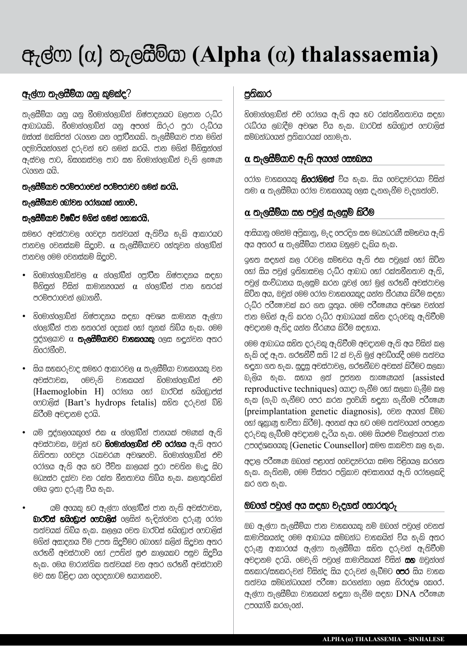# $\Phi$ <sub>7</sub> $\otimes$  (α)  $\Phi$ <sub>7</sub> $\otimes$  $\otimes$  $\otimes$ ,  $\Phi$  (Alpha (α) thalassaemia)

## $q_7$ ල්ෆා තැලසීම්යා යනු කුමක්ද?

තැලසීම්යා යනු යනු හීමොග්ලොබ්න් නිෂ්පාදනයට බලපාන රුධ්ර ආබාධයකි. හීමොග්ලොබ්න් යනු අපගේ සිරුර පුරා රුධ්රය ඔස්oස් ඔක්සිජන් රැගෙන යන ලෝටීනයකි. තැලසීම්යාව ජාන මගින් oදමාපියන්ගෙන් දරුවන් හට ගමන් කරයි. ජාන මගින් ම්නිසුන්ගේ ඇස්වල පාට, හිසුගකස්වල පාට සහ හිරමාග්රලාබ්න් වැනි ල*ක*ෂණ റിരുത രി $\hat{a}$ .

#### තැලයීම්යාව පරම්පරාවෙන් පරම්පරාවට ගමන් කරයි.

#### තැලසීම්යාව ගෝවන රෝගයක් නොරව්.

#### තැලසීම්යාව ව්ෂබ්ජ මගින් ගමන් නොකරයි.

smhr avs~}`vl @@vq& ww~vyn~ a#wQvQy h#kQ a`k`ryt j`nvl @vns~km| sQqE@v|. α w#lsWmQy`vt @h~wOvn g~@l`~bQn~ ජානවල මෙම වෙනස්කම් සිදුවේ.

- $\bullet$  හිංමාග්රලාබ්න්වල  $\alpha$  ග්රලා්බීන් රපුා්ටීන නිෂ්පාදනය සඳහා මිනිසුන් ව්සින් සාමාන $\alpha$ යන්  $\alpha$  ග්ලෝබීන් ජාන හතරක් පරම්පරාවෙන් ලබාගනී.  $\,$
- $\bullet$  හිංමාග්රලාබ්න් නිෂ්පාදනය සඳහා අවශ $\mathrm{z}$  සාමාන $\mathrm{z}$  අ $_7$ ල්ෆා ග්රලා්බීන් ජාන හතරරන් රදකක් රහා තුනක් තිබ්ය හැක. රමම පුද්ගලයාව  $\alpha$  **තැලසීම්යාවට වාහකරයකු** රලස හඳුන්වන අතර නිරෝගීවේ.
- සිය සහකරුවාද සමහර ආකාරවල  $\alpha$  තැලසීම්යා වාහකයෙකු වන avs~}`vk, @mv#nQ v`hkyn~ hQ@m`g~@l`bQn~ ec| (Haemoglobin H) රෝගය හෝ බාර්ට්ස් හයිඩොප්ස් cෆටාලිස් (Bart's hydrops fetalis) සහිත දරුවන් බ්හි කිරීමේ අවදානම දරයි.
- යම් පුද්ගලරයකුරග් එක  $\alpha$  ග්රලා්බීන් ජානයක් පමණක් ඇති අවස්ථාවක, ඔවුන් හට **හිංමාග්රලාබ්න් එචි රෝගය** ඇති අතර nQwQpw` @@vq& rFkvrN avX&@v|. hQ@m`g~@l`bQn~ ec|  $\sigma$ රා්ගය ඇති අය හට පීව්ත කාලයක් පුරා පවතින මෘදු සිට මධනස්ථ දක්වා වන රක්ත හීනතාවය තිබ්ය හැක. කලාතුරකින් 0මය ඉතා දරුණු ව්ය හැක.
	- යම් අංයකු හට ඇල්ෆා ග්ලෝබීන් ජාන නැති අවස්ථාවක,  $\omega$ ිර්ච්ස් හයිරඩාප් ගෙවාලිස් ලෙසින් හැඳින්වෙන දරුණු රෝග ww~vyk~ wQbQy h#k. klly @vw b`r~t|s~ hyQ@dY`p~ @ft`lQs~ මගින් අසාදනය වීම උපත සිදුවීමට ගොහෝ කලින් සිදුවන අතර ගරහනී අවස්ථාරවි හෝ උපතින් සුළු කාලයකට පසුව සිදුව්ය හැක. මෙය මාරාන්තික තත්වයක් වන අතර ගරහනී අවස්ථාවේ මව සහ බ්ළිඳා යන දෙදෙනාටම භයානකුවෙ.

## පුතිකාර

 $\delta$ මොග්ලොබ්න් එච් රරා්ගය ඇති අය හට රක්තහීනතාවය සඳහා රැධ්රය ලබාදීම අවශ $x$  ව්ය හැක. බාරට්ස් හයිංඩාප් ගෙටාලිස් සම්බන්ධයෙන් පුතිකාරයක් හොමැත.

#### $\alpha$  තැලසීම්යාව ඇති අයගේ සෞඛාන

6රා්ග වාහකරයකු **නිරරා්ගිමත්** ව්ය හැක. සිය 66වදපවරයා ව්සින් තමා  $\alpha$  තැලසීම්යා රෝග වාහකරයකු රලස දැනගැනීම වැදගත්වේ.

#### $\alpha$  තැලසීම්යා සහ පවල් සැලසුම් කිරීම

ආසියානු මෙන්ම අපිකානු, මැද පෙරදිග සහ මධානිරණී සම්භවය ඇති අය අතරේ  $\alpha$  තැලසීම්යා ජානය බහුලව දැකිය හැක.

 $900$  සඳහන් කල රටවල සම්භවය ඇති එක පවුලක් රහා් සිට්න  $\,$  හෝ සිය පවුල් ඉතිහාසවල රුධ්ර ආබාධ හෝ රක්තහීනතාව ඇති, පවුල් සංව්ධානය සැලසුම් කරන යුවල් oහා මුල් ගරහනී අවස්ථාවල සිට්න අය, ඔවුන් මෙම රෝග වාහකයෙකුදු යන්න තීරණය කිරීම සඳහා r#{Qr prW]`vk~ kr gw yEwOy. @mm prW]Ny avX& vn~@n~ ජාන මගින් ඇති කරන රුධ්ර ආබාධයක් සහිත දරුවෙකු ඇතිවීමේ අවදානම ඇතිද යන්න තීරණය කිරීම සඳහාය.

0මම ආබාධය සහිත දරුවකු ඇතිවීමේ අවදානම ඇති අය ව්සින් කල හැකි දේ ඇත. ගරහනීවී සති 12 ක් වැනි මුල් අවධ්යේදී මෙම තත්වය හඳුනා ගත හැක. සුදුසු අවස්ථාවල, ගරහනීබව අවසන් කිරීමට සලකා  $\partial_7$ ලිය හැක. සහාය ලත් පුජනන තාකූණයන් (assisted reproductive techniques) ගොදා ගැනීම හෝ සලකා බැලීම කල හැක (ගැබ ගැනීමට පෙර කරන පුවෙිණි හඳුනා ගැනීමේ පරීකූෂා (preimplantation genetic diagnosis), com accom allo 6හා ශුකාණු භාව්තා කිරීම). අනෙක් අය හට මෙම තත්වයෙන් පෙළෙන දරුවකු ලැබීමේ අවදානම දැරිය හැක. මෙම සියළුම ව්කල්පයන් ජාන උපරද්ශකයෙකු (Genetic Counsellor) සමග සාකච්ඡා කල හැක.

අදාල පරීකූණ ඔබගේ පළාගේ ගෙවදළුවරයා සමග පිළිගෙල කරගත හැක. නැතිනම්, මෙම ව්ස්තර පතිුකාව අවසානගේ ඇති රෝහලකදි කර ගත $_{7}$ ක.

## $@$  ador peged are a cope by contracted  $@$

<u>ඔබ ඇල්ෆා තැලසීම්යා ජාන වාහකයෙකු නම් ඔබගේ පවුලේ රචනත්</u> සාමාපිකයන්ද මෙම ආබාධය සම්බන්ධ වාහකයින් ව්ය හැකි අතර දරුණු ආකාරගේ ඇල්ෆා තැලසීම්යා සහිත දරුවන් ඇතිවීමේ අවදානම දරයි. මෙවැනි පවුලේ සාමාපිකයන් ව්සින් **සහ** ඔවුන්ලග් සහකාර/සහකරුවන් ව්සින්ද සිය දරුවන් ලැබීමට **පෙර** සිය වාහක නත්වය සම්බන්ධයෙන් පරීකූ කරගන්නා ලෙස නිරදේශ කෙරේ.  $\sigma$ ැල්ෆා තැලසීම්යා වාහකයන් හඳුනා ගැනීම සඳහා  $\rm DNA$  පරීකූණ  $\sim$ පගෝගී කරග $_{7}$ හේ.